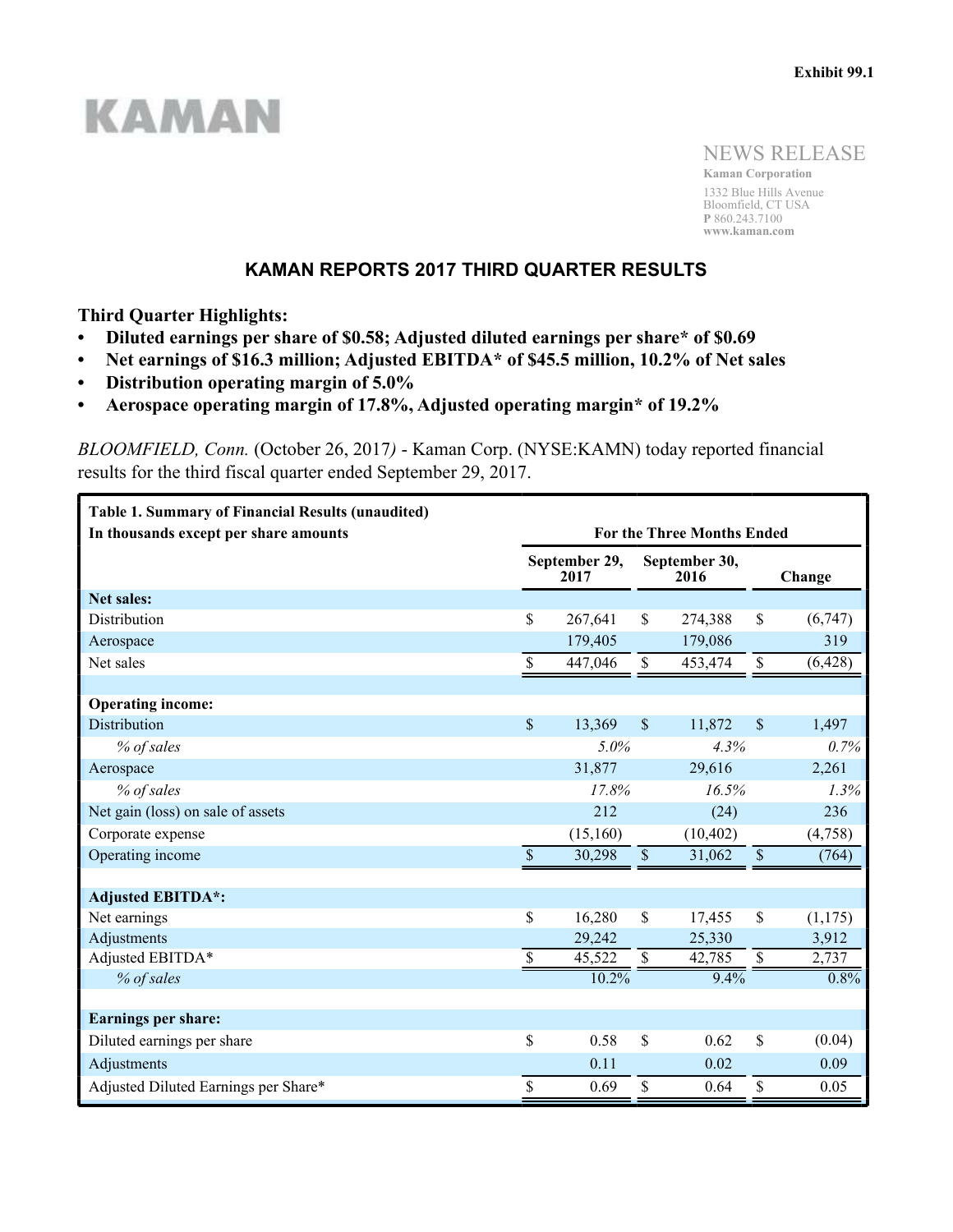# **KAMAN**

## NEWS RELEASE

**Kaman Corporation** 1332 Blue Hills Avenue Bloomfield, CT USA **P** 860.243.7100 **www.kaman.com**

# **KAMAN REPORTS 2017 THIRD QUARTER RESULTS**

**Third Quarter Highlights:**

- **Diluted earnings per share of \$0.58; Adjusted diluted earnings per share\* of \$0.69**
- **Net earnings of \$16.3 million; Adjusted EBITDA\* of \$45.5 million, 10.2% of Net sales**
- **Distribution operating margin of 5.0%**
- **Aerospace operating margin of 17.8%, Adjusted operating margin\* of 19.2%**

*BLOOMFIELD, Conn.* (October 26, 2017*)* - Kaman Corp. (NYSE:KAMN) today reported financial results for the third fiscal quarter ended September 29, 2017.

| <b>Table 1. Summary of Financial Results (unaudited)</b> |               |                       |                           |                                   |                 |          |
|----------------------------------------------------------|---------------|-----------------------|---------------------------|-----------------------------------|-----------------|----------|
| In thousands except per share amounts                    |               |                       |                           | <b>For the Three Months Ended</b> |                 |          |
|                                                          |               | September 29,<br>2017 | September 30,<br>2016     |                                   |                 | Change   |
| <b>Net sales:</b>                                        |               |                       |                           |                                   |                 |          |
| Distribution                                             | \$            | 267,641               | \$                        | 274,388                           | \$              | (6,747)  |
| Aerospace                                                |               | 179,405               |                           | 179,086                           |                 | 319      |
| Net sales                                                | \$            | 447,046               | \$                        | 453,474                           | \$              | (6, 428) |
|                                                          |               |                       |                           |                                   |                 |          |
| <b>Operating income:</b>                                 |               |                       |                           |                                   |                 |          |
| Distribution                                             | $\mathsf{\$}$ | 13,369                | $\mathbf{\hat{S}}$        | 11,872                            | $\mathsf{\$}$   | 1,497    |
| % of sales                                               | $5.0\%$       |                       |                           | 4.3%                              |                 | 0.7%     |
| Aerospace                                                |               | 31,877                |                           | 29,616                            |                 | 2,261    |
| % of sales                                               |               | 17.8%                 |                           | 16.5%                             |                 | 1.3%     |
| Net gain (loss) on sale of assets                        |               | 212                   |                           | (24)                              |                 | 236      |
| Corporate expense                                        |               | (15,160)              |                           | (10, 402)                         |                 | (4,758)  |
| Operating income                                         | $\mathcal{S}$ | 30,298                | $\boldsymbol{\mathsf{S}}$ | 31,062                            | $\$$            | (764)    |
|                                                          |               |                       |                           |                                   |                 |          |
| <b>Adjusted EBITDA*:</b>                                 |               |                       |                           |                                   |                 |          |
| Net earnings                                             | \$            | 16,280                | \$                        | 17,455                            | \$              | (1,175)  |
| Adjustments                                              |               | 29,242                |                           | 25,330                            |                 | 3,912    |
| Adjusted EBITDA*                                         | $\mathbb S$   | 45,522                | $\overline{\mathcal{S}}$  | 42,785                            | $\overline{\$}$ | 2,737    |
| % of sales                                               |               | $10.2\%$              |                           | 9.4%                              |                 | 0.8%     |
|                                                          |               |                       |                           |                                   |                 |          |
| Earnings per share:                                      |               |                       |                           |                                   |                 |          |
| Diluted earnings per share                               | \$            | 0.58                  | \$                        | 0.62                              | \$              | (0.04)   |
| Adjustments                                              |               | 0.11                  |                           | 0.02                              |                 | 0.09     |
| Adjusted Diluted Earnings per Share*                     | \$            | 0.69                  | \$                        | 0.64                              | \$              | 0.05     |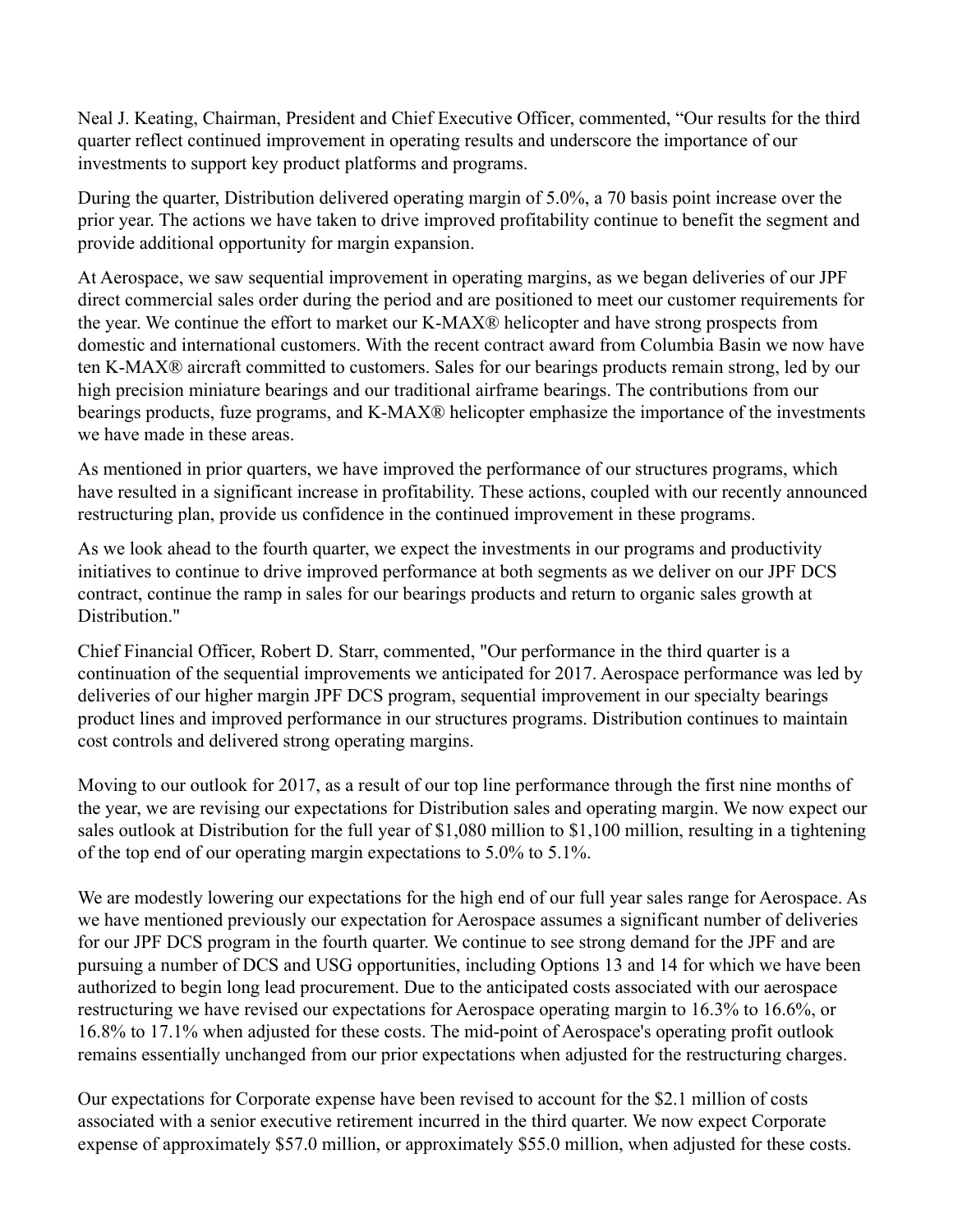Neal J. Keating, Chairman, President and Chief Executive Officer, commented, "Our results for the third quarter reflect continued improvement in operating results and underscore the importance of our investments to support key product platforms and programs.

During the quarter, Distribution delivered operating margin of 5.0%, a 70 basis point increase over the prior year. The actions we have taken to drive improved profitability continue to benefit the segment and provide additional opportunity for margin expansion.

At Aerospace, we saw sequential improvement in operating margins, as we began deliveries of our JPF direct commercial sales order during the period and are positioned to meet our customer requirements for the year. We continue the effort to market our K-MAX® helicopter and have strong prospects from domestic and international customers. With the recent contract award from Columbia Basin we now have ten K-MAX® aircraft committed to customers. Sales for our bearings products remain strong, led by our high precision miniature bearings and our traditional airframe bearings. The contributions from our bearings products, fuze programs, and K-MAX® helicopter emphasize the importance of the investments we have made in these areas.

As mentioned in prior quarters, we have improved the performance of our structures programs, which have resulted in a significant increase in profitability. These actions, coupled with our recently announced restructuring plan, provide us confidence in the continued improvement in these programs.

As we look ahead to the fourth quarter, we expect the investments in our programs and productivity initiatives to continue to drive improved performance at both segments as we deliver on our JPF DCS contract, continue the ramp in sales for our bearings products and return to organic sales growth at Distribution."

Chief Financial Officer, Robert D. Starr, commented, "Our performance in the third quarter is a continuation of the sequential improvements we anticipated for 2017. Aerospace performance was led by deliveries of our higher margin JPF DCS program, sequential improvement in our specialty bearings product lines and improved performance in our structures programs. Distribution continues to maintain cost controls and delivered strong operating margins.

Moving to our outlook for 2017, as a result of our top line performance through the first nine months of the year, we are revising our expectations for Distribution sales and operating margin. We now expect our sales outlook at Distribution for the full year of \$1,080 million to \$1,100 million, resulting in a tightening of the top end of our operating margin expectations to 5.0% to 5.1%.

We are modestly lowering our expectations for the high end of our full year sales range for Aerospace. As we have mentioned previously our expectation for Aerospace assumes a significant number of deliveries for our JPF DCS program in the fourth quarter. We continue to see strong demand for the JPF and are pursuing a number of DCS and USG opportunities, including Options 13 and 14 for which we have been authorized to begin long lead procurement. Due to the anticipated costs associated with our aerospace restructuring we have revised our expectations for Aerospace operating margin to 16.3% to 16.6%, or 16.8% to 17.1% when adjusted for these costs. The mid-point of Aerospace's operating profit outlook remains essentially unchanged from our prior expectations when adjusted for the restructuring charges.

Our expectations for Corporate expense have been revised to account for the \$2.1 million of costs associated with a senior executive retirement incurred in the third quarter. We now expect Corporate expense of approximately \$57.0 million, or approximately \$55.0 million, when adjusted for these costs.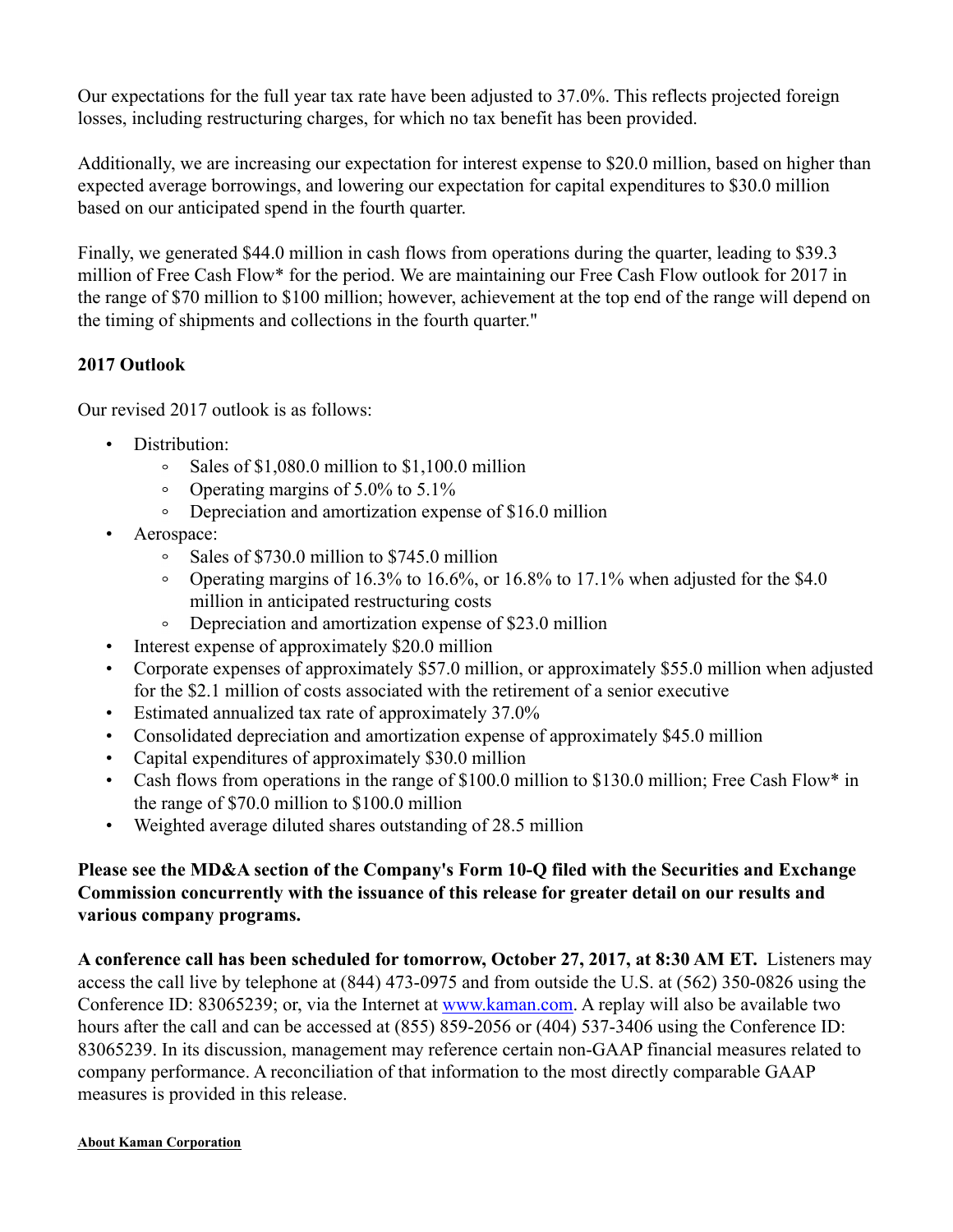Our expectations for the full year tax rate have been adjusted to 37.0%. This reflects projected foreign losses, including restructuring charges, for which no tax benefit has been provided.

Additionally, we are increasing our expectation for interest expense to \$20.0 million, based on higher than expected average borrowings, and lowering our expectation for capital expenditures to \$30.0 million based on our anticipated spend in the fourth quarter.

Finally, we generated \$44.0 million in cash flows from operations during the quarter, leading to \$39.3 million of Free Cash Flow\* for the period. We are maintaining our Free Cash Flow outlook for 2017 in the range of \$70 million to \$100 million; however, achievement at the top end of the range will depend on the timing of shipments and collections in the fourth quarter."

# **2017 Outlook**

Our revised 2017 outlook is as follows:

- Distribution:
	- Sales of \$1,080.0 million to \$1,100.0 million  $\circ$
	- Operating margins of 5.0% to 5.1%  $\circ$
	- Depreciation and amortization expense of \$16.0 million
- Aerospace:
	- $\circ$ Sales of \$730.0 million to \$745.0 million
	- $\degree$  Operating margins of 16.3% to 16.6%, or 16.8% to 17.1% when adjusted for the \$4.0 million in anticipated restructuring costs
	- $\circ$ Depreciation and amortization expense of \$23.0 million
- Interest expense of approximately \$20.0 million
- Corporate expenses of approximately \$57.0 million, or approximately \$55.0 million when adjusted for the \$2.1 million of costs associated with the retirement of a senior executive
- Estimated annualized tax rate of approximately 37.0%
- Consolidated depreciation and amortization expense of approximately \$45.0 million
- Capital expenditures of approximately \$30.0 million
- Cash flows from operations in the range of \$100.0 million to \$130.0 million; Free Cash Flow\* in the range of \$70.0 million to \$100.0 million
- Weighted average diluted shares outstanding of 28.5 million

# **Please see the MD&A section of the Company's Form 10-Q filed with the Securities and Exchange Commission concurrently with the issuance of this release for greater detail on our results and various company programs.**

**A conference call has been scheduled for tomorrow, October 27, 2017, at 8:30 AM ET.** Listeners may access the call live by telephone at (844) 473-0975 and from outside the U.S. at (562) 350-0826 using the Conference ID: 83065239; or, via the Internet at www.kaman.com. A replay will also be available two hours after the call and can be accessed at (855) 859-2056 or (404) 537-3406 using the Conference ID: 83065239. In its discussion, management may reference certain non-GAAP financial measures related to company performance. A reconciliation of that information to the most directly comparable GAAP measures is provided in this release.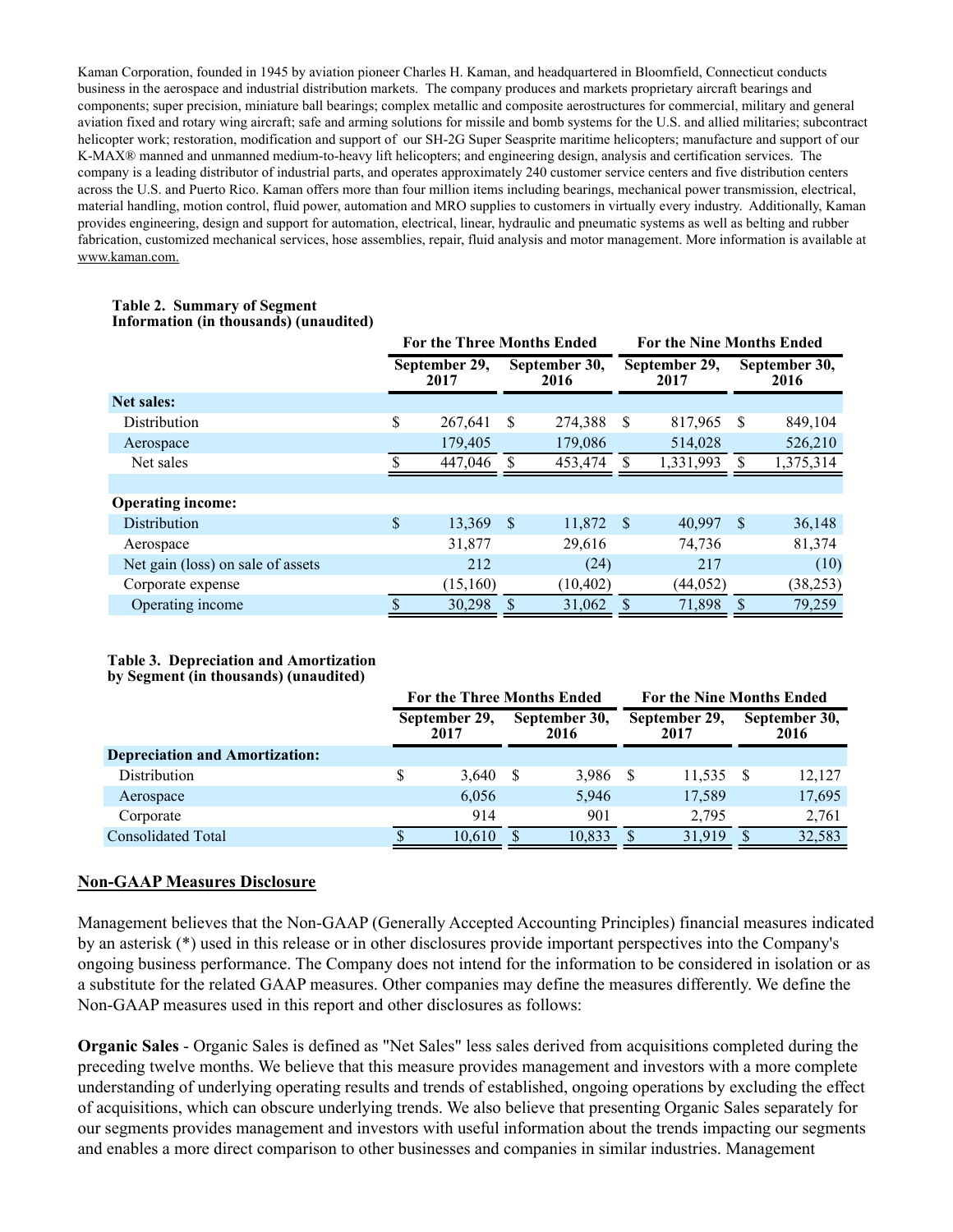Kaman Corporation, founded in 1945 by aviation pioneer Charles H. Kaman, and headquartered in Bloomfield, Connecticut conducts business in the aerospace and industrial distribution markets. The company produces and markets proprietary aircraft bearings and components; super precision, miniature ball bearings; complex metallic and composite aerostructures for commercial, military and general aviation fixed and rotary wing aircraft; safe and arming solutions for missile and bomb systems for the U.S. and allied militaries; subcontract helicopter work; restoration, modification and support of our SH-2G Super Seasprite maritime helicopters; manufacture and support of our K-MAX® manned and unmanned medium-to-heavy lift helicopters; and engineering design, analysis and certification services. The company is a leading distributor of industrial parts, and operates approximately 240 customer service centers and five distribution centers across the U.S. and Puerto Rico. Kaman offers more than four million items including bearings, mechanical power transmission, electrical, material handling, motion control, fluid power, automation and MRO supplies to customers in virtually every industry. Additionally, Kaman provides engineering, design and support for automation, electrical, linear, hydraulic and pneumatic systems as well as belting and rubber fabrication, customized mechanical services, hose assemblies, repair, fluid analysis and motor management. More information is available at www.kaman.com.

#### **Table 2. Summary of Segment Information (in thousands) (unaudited)**

|                                   | <b>For the Three Months Ended</b> |              | <b>For the Nine Months Ended</b> |      |                       |               |                       |
|-----------------------------------|-----------------------------------|--------------|----------------------------------|------|-----------------------|---------------|-----------------------|
|                                   | September 29,<br>2017             |              | September 30,<br>2016            |      | September 29,<br>2017 |               | September 30,<br>2016 |
| <b>Net sales:</b>                 |                                   |              |                                  |      |                       |               |                       |
| Distribution                      | \$<br>267,641                     | S            | 274,388                          | -S   | 817,965               | <sup>S</sup>  | 849,104               |
| Aerospace                         | 179,405                           |              | 179,086                          |      | 514,028               |               | 526,210               |
| Net sales                         | 447,046                           |              | 453,474                          |      | 1,331,993             |               | 1,375,314             |
|                                   |                                   |              |                                  |      |                       |               |                       |
| <b>Operating income:</b>          |                                   |              |                                  |      |                       |               |                       |
| <b>Distribution</b>               | \$<br>13,369                      | <sup>S</sup> | 11,872                           | - \$ | 40,997                | <sup>\$</sup> | 36,148                |
| Aerospace                         | 31,877                            |              | 29,616                           |      | 74,736                |               | 81,374                |
| Net gain (loss) on sale of assets | 212                               |              | (24)                             |      | 217                   |               | (10)                  |
| Corporate expense                 | (15,160)                          |              | (10, 402)                        |      | (44, 052)             |               | (38, 253)             |
| Operating income                  | 30,298                            |              | 31,062                           |      | 71,898                |               | 79,259                |

#### **Table 3. Depreciation and Amortization by Segment (in thousands) (unaudited)**

|                                       |                       | <b>For the Three Months Ended</b> |                       | <b>For the Nine Months Ended</b> |                       |                       |        |  |
|---------------------------------------|-----------------------|-----------------------------------|-----------------------|----------------------------------|-----------------------|-----------------------|--------|--|
|                                       | September 29,<br>2017 |                                   | September 30,<br>2016 |                                  | September 29,<br>2017 | September 30,<br>2016 |        |  |
| <b>Depreciation and Amortization:</b> |                       |                                   |                       |                                  |                       |                       |        |  |
| Distribution                          | S                     | 3,640                             | 3,986                 |                                  | 11,535                |                       | 12,127 |  |
| Aerospace                             |                       | 6,056                             | 5,946                 |                                  | 17,589                |                       | 17,695 |  |
| Corporate                             |                       | 914                               | 901                   |                                  | 2.795                 |                       | 2,761  |  |
| <b>Consolidated Total</b>             |                       | 10,610                            | 10,833                |                                  | 31.919                |                       | 32,583 |  |

## **Non-GAAP Measures Disclosure**

Management believes that the Non-GAAP (Generally Accepted Accounting Principles) financial measures indicated by an asterisk (\*) used in this release or in other disclosures provide important perspectives into the Company's ongoing business performance. The Company does not intend for the information to be considered in isolation or as a substitute for the related GAAP measures. Other companies may define the measures differently. We define the Non-GAAP measures used in this report and other disclosures as follows:

**Organic Sales** - Organic Sales is defined as "Net Sales" less sales derived from acquisitions completed during the preceding twelve months. We believe that this measure provides management and investors with a more complete understanding of underlying operating results and trends of established, ongoing operations by excluding the effect of acquisitions, which can obscure underlying trends. We also believe that presenting Organic Sales separately for our segments provides management and investors with useful information about the trends impacting our segments and enables a more direct comparison to other businesses and companies in similar industries. Management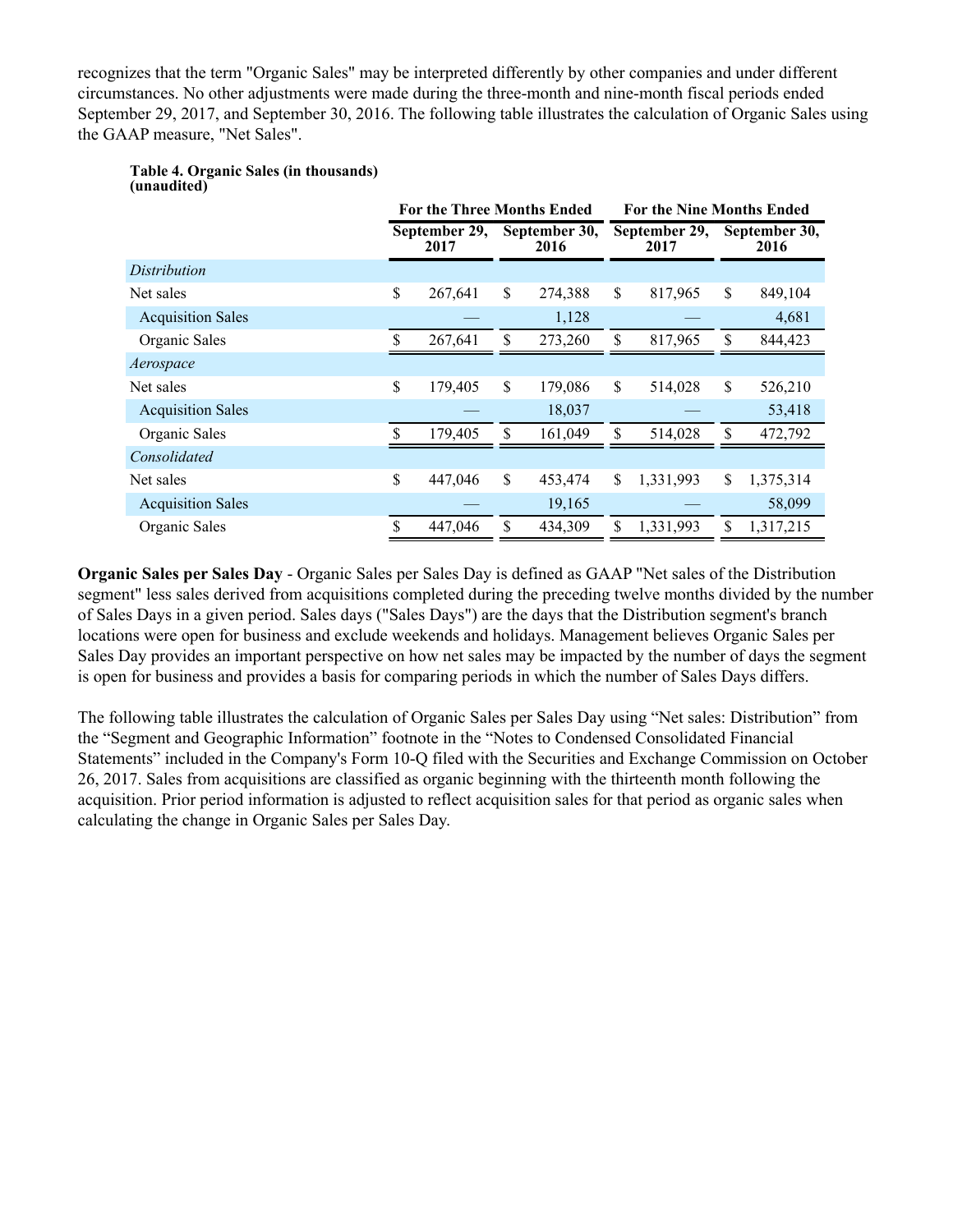recognizes that the term "Organic Sales" may be interpreted differently by other companies and under different circumstances. No other adjustments were made during the three-month and nine-month fiscal periods ended September 29, 2017, and September 30, 2016. The following table illustrates the calculation of Organic Sales using the GAAP measure, "Net Sales".

#### **Table 4. Organic Sales (in thousands) (unaudited)**

|                          | <b>For the Three Months Ended</b> |         |                       |         |                       | <b>For the Nine Months Ended</b> |             |                       |  |  |
|--------------------------|-----------------------------------|---------|-----------------------|---------|-----------------------|----------------------------------|-------------|-----------------------|--|--|
|                          | September 29,<br>2017             |         | September 30,<br>2016 |         | September 29,<br>2017 |                                  |             | September 30,<br>2016 |  |  |
| Distribution             |                                   |         |                       |         |                       |                                  |             |                       |  |  |
| Net sales                | \$                                | 267,641 | \$                    | 274,388 | \$                    | 817,965                          | \$          | 849,104               |  |  |
| <b>Acquisition Sales</b> |                                   |         |                       | 1,128   |                       |                                  |             | 4,681                 |  |  |
| Organic Sales            | $\mathbf{\hat{S}}$                | 267,641 | \$                    | 273,260 | \$                    | 817,965                          | \$          | 844,423               |  |  |
| Aerospace                |                                   |         |                       |         |                       |                                  |             |                       |  |  |
| Net sales                | \$                                | 179,405 | \$                    | 179,086 | \$                    | 514,028                          | \$          | 526,210               |  |  |
| <b>Acquisition Sales</b> |                                   |         |                       | 18,037  |                       |                                  |             | 53,418                |  |  |
| Organic Sales            | $\mathbf{\hat{S}}$                | 179,405 | \$                    | 161,049 | \$                    | 514,028                          | $\mathbf S$ | 472,792               |  |  |
| Consolidated             |                                   |         |                       |         |                       |                                  |             |                       |  |  |
| Net sales                | \$                                | 447,046 | \$                    | 453,474 | \$                    | 1,331,993                        | \$          | 1,375,314             |  |  |
| <b>Acquisition Sales</b> |                                   |         |                       | 19,165  |                       |                                  |             | 58,099                |  |  |
| Organic Sales            | \$                                | 447,046 | \$                    | 434,309 | \$                    | 1,331,993                        | \$          | 1,317,215             |  |  |

**Organic Sales per Sales Day** - Organic Sales per Sales Day is defined as GAAP "Net sales of the Distribution segment" less sales derived from acquisitions completed during the preceding twelve months divided by the number of Sales Days in a given period. Sales days ("Sales Days") are the days that the Distribution segment's branch locations were open for business and exclude weekends and holidays. Management believes Organic Sales per Sales Day provides an important perspective on how net sales may be impacted by the number of days the segment is open for business and provides a basis for comparing periods in which the number of Sales Days differs.

The following table illustrates the calculation of Organic Sales per Sales Day using "Net sales: Distribution" from the "Segment and Geographic Information" footnote in the "Notes to Condensed Consolidated Financial Statements" included in the Company's Form 10-Q filed with the Securities and Exchange Commission on October 26, 2017. Sales from acquisitions are classified as organic beginning with the thirteenth month following the acquisition. Prior period information is adjusted to reflect acquisition sales for that period as organic sales when calculating the change in Organic Sales per Sales Day.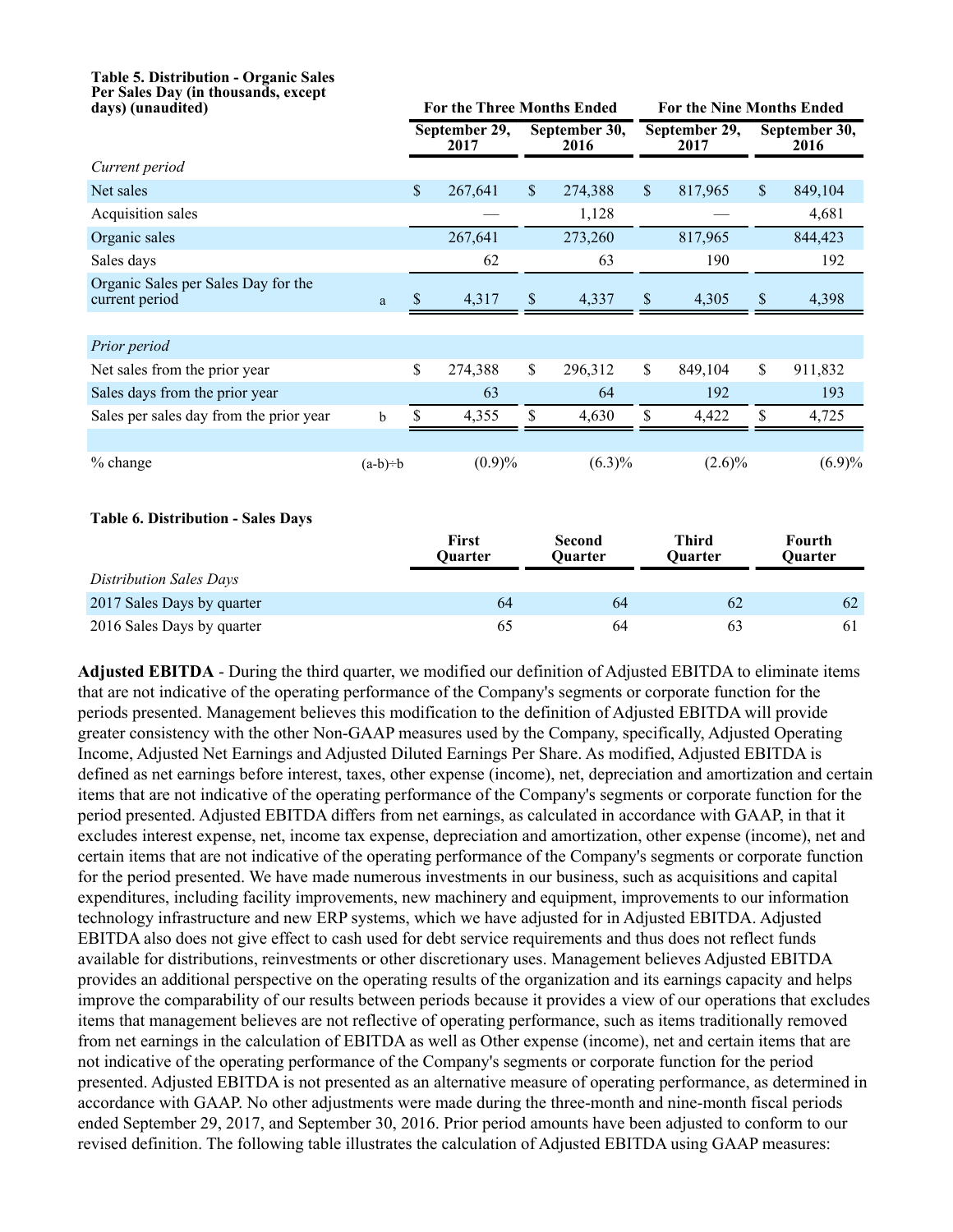| <b>Table 5. Distribution - Organic Sales</b><br>Per Sales Day (in thousands, except<br>days) (unaudited) |           | <b>For the Three Months Ended</b> |                           |                                 |             | <b>For the Nine Months Ended</b> |                       |
|----------------------------------------------------------------------------------------------------------|-----------|-----------------------------------|---------------------------|---------------------------------|-------------|----------------------------------|-----------------------|
|                                                                                                          |           | September 29,<br>2017             |                           | September 30,<br>2016           |             | September 29,<br>2017            | September 30,<br>2016 |
| Current period                                                                                           |           |                                   |                           |                                 |             |                                  |                       |
| Net sales                                                                                                |           | \$<br>267,641                     | $\boldsymbol{\mathsf{S}}$ | 274,388                         | $\sqrt{\ }$ | 817,965                          | \$<br>849,104         |
| Acquisition sales                                                                                        |           |                                   |                           | 1,128                           |             |                                  | 4,681                 |
| Organic sales                                                                                            |           | 267,641                           |                           | 273,260                         |             | 817,965                          | 844,423               |
| Sales days                                                                                               |           | 62                                |                           | 63                              |             | 190                              | 192                   |
| Organic Sales per Sales Day for the<br>current period                                                    | $\rm{a}$  | \$<br>4,317                       | \$                        | 4,337                           | $\mathbb S$ | 4,305                            | \$<br>4,398           |
|                                                                                                          |           |                                   |                           |                                 |             |                                  |                       |
| Prior period                                                                                             |           |                                   |                           |                                 |             |                                  |                       |
| Net sales from the prior year                                                                            |           | \$<br>274,388                     | $\mathbf{\hat{S}}$        | 296,312                         | \$          | 849,104                          | \$<br>911,832         |
| Sales days from the prior year                                                                           |           | 63                                |                           | 64                              |             | 192                              | 193                   |
| Sales per sales day from the prior year                                                                  | b         | \$<br>4,355                       | $\$$                      | 4,630                           | \$          | 4,422                            | \$<br>4,725           |
| $%$ change                                                                                               | $(a-b)=b$ | $(0.9)\%$                         |                           | $(6.3)\%$                       |             | $(2.6)\%$                        | $(6.9)\%$             |
| <b>Table 6. Distribution - Sales Days</b>                                                                |           |                                   |                           |                                 |             |                                  |                       |
|                                                                                                          |           | First<br>Quarter                  |                           | <b>Second</b><br><b>Ouarter</b> |             | <b>Third</b><br>Quarter          | Fourth<br>Quarter     |
| <b>Distribution Sales Days</b>                                                                           |           |                                   |                           |                                 |             |                                  |                       |
| 2017 Sales Days by quarter                                                                               |           | 64                                |                           | 64                              |             | 62                               | 62                    |
| 2016 Sales Days by quarter                                                                               |           | 65                                |                           | 64                              |             | 63                               | 61                    |

**Adjusted EBITDA** - During the third quarter, we modified our definition of Adjusted EBITDA to eliminate items that are not indicative of the operating performance of the Company's segments or corporate function for the periods presented. Management believes this modification to the definition of Adjusted EBITDA will provide greater consistency with the other Non-GAAP measures used by the Company, specifically, Adjusted Operating Income, Adjusted Net Earnings and Adjusted Diluted Earnings Per Share. As modified, Adjusted EBITDA is defined as net earnings before interest, taxes, other expense (income), net, depreciation and amortization and certain items that are not indicative of the operating performance of the Company's segments or corporate function for the period presented. Adjusted EBITDA differs from net earnings, as calculated in accordance with GAAP, in that it excludes interest expense, net, income tax expense, depreciation and amortization, other expense (income), net and certain items that are not indicative of the operating performance of the Company's segments or corporate function for the period presented. We have made numerous investments in our business, such as acquisitions and capital expenditures, including facility improvements, new machinery and equipment, improvements to our information technology infrastructure and new ERP systems, which we have adjusted for in Adjusted EBITDA. Adjusted EBITDA also does not give effect to cash used for debt service requirements and thus does not reflect funds available for distributions, reinvestments or other discretionary uses. Management believes Adjusted EBITDA provides an additional perspective on the operating results of the organization and its earnings capacity and helps improve the comparability of our results between periods because it provides a view of our operations that excludes items that management believes are not reflective of operating performance, such as items traditionally removed from net earnings in the calculation of EBITDA as well as Other expense (income), net and certain items that are not indicative of the operating performance of the Company's segments or corporate function for the period presented. Adjusted EBITDA is not presented as an alternative measure of operating performance, as determined in accordance with GAAP. No other adjustments were made during the three-month and nine-month fiscal periods ended September 29, 2017, and September 30, 2016. Prior period amounts have been adjusted to conform to our revised definition. The following table illustrates the calculation of Adjusted EBITDA using GAAP measures: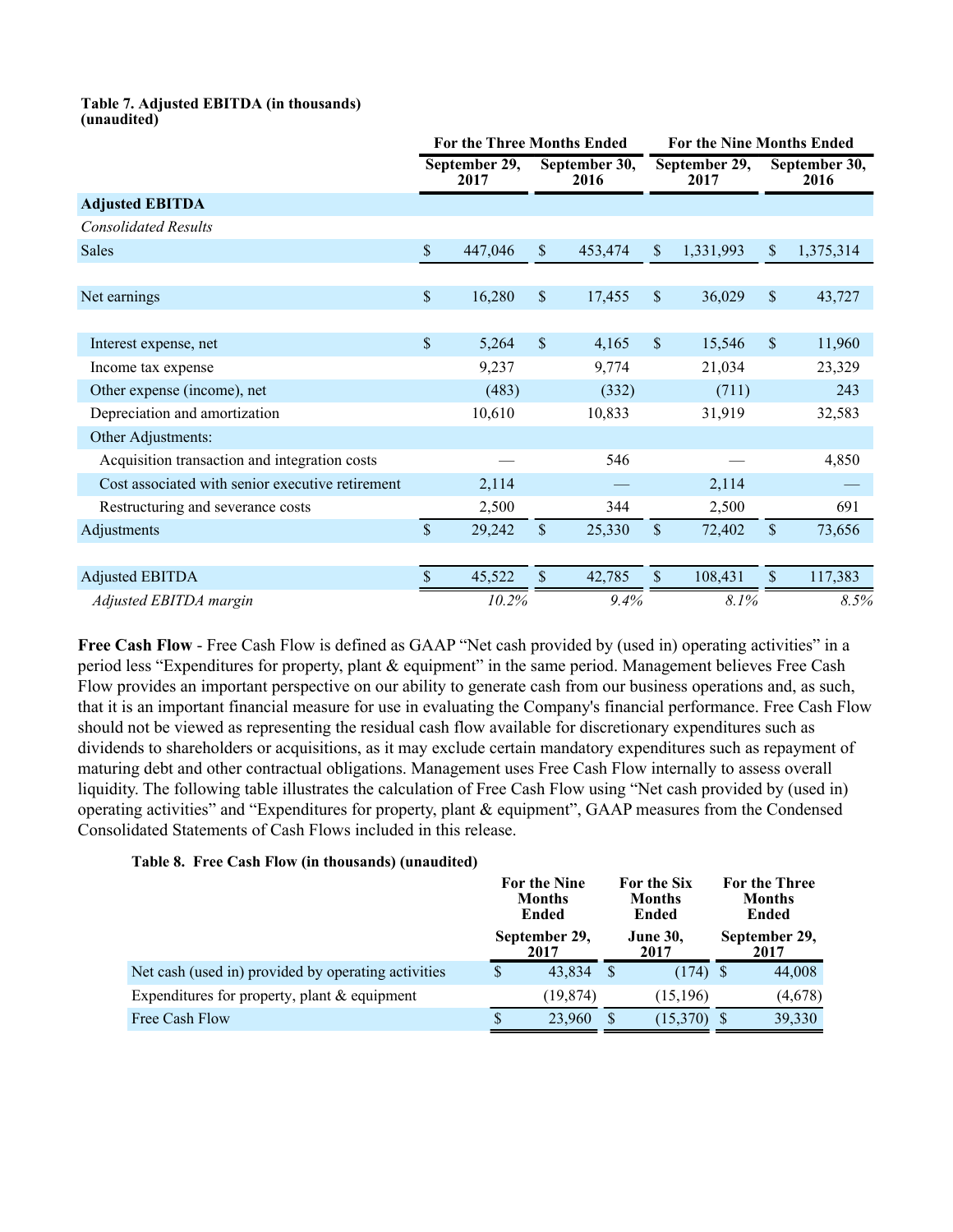#### **Table 7. Adjusted EBITDA (in thousands) (unaudited)**

|                                                  | <b>For the Three Months Ended</b> |                       |                    |                       |              | <b>For the Nine Months Ended</b> |                           |                       |  |  |
|--------------------------------------------------|-----------------------------------|-----------------------|--------------------|-----------------------|--------------|----------------------------------|---------------------------|-----------------------|--|--|
|                                                  |                                   | September 29,<br>2017 |                    | September 30,<br>2016 |              | September 29,<br>2017            |                           | September 30,<br>2016 |  |  |
| <b>Adjusted EBITDA</b>                           |                                   |                       |                    |                       |              |                                  |                           |                       |  |  |
| <b>Consolidated Results</b>                      |                                   |                       |                    |                       |              |                                  |                           |                       |  |  |
| <b>Sales</b>                                     | \$                                | 447,046               | $\mathcal{S}$      | 453,474               | $\sqrt{\ }$  | 1,331,993                        | $\boldsymbol{\mathsf{S}}$ | 1,375,314             |  |  |
|                                                  |                                   |                       |                    |                       |              |                                  |                           |                       |  |  |
| Net earnings                                     | $\mathsf{\$}$                     | 16,280                | $\mathbf{\hat{S}}$ | 17,455                | \$           | 36,029                           | \$                        | 43,727                |  |  |
|                                                  |                                   |                       |                    |                       |              |                                  |                           |                       |  |  |
| Interest expense, net                            | $\mathsf{\$}$                     | 5,264                 | $\mathbb{S}$       | 4,165                 | $\mathbb{S}$ | 15,546                           | $\mathbf{\$}$             | 11,960                |  |  |
| Income tax expense                               |                                   | 9,237                 |                    | 9,774                 |              | 21,034                           |                           | 23,329                |  |  |
| Other expense (income), net                      |                                   | (483)                 |                    | (332)                 |              | (711)                            |                           | 243                   |  |  |
| Depreciation and amortization                    |                                   | 10,610                |                    | 10,833                |              | 31,919                           |                           | 32,583                |  |  |
| Other Adjustments:                               |                                   |                       |                    |                       |              |                                  |                           |                       |  |  |
| Acquisition transaction and integration costs    |                                   |                       |                    | 546                   |              |                                  |                           | 4,850                 |  |  |
| Cost associated with senior executive retirement |                                   | 2,114                 |                    |                       |              | 2,114                            |                           |                       |  |  |
| Restructuring and severance costs                |                                   | 2,500                 |                    | 344                   |              | 2,500                            |                           | 691                   |  |  |
| Adjustments                                      | $\mathsf{\$}$                     | 29,242                | $\mathbb{S}$       | 25,330                | \$           | 72,402                           | \$                        | 73,656                |  |  |
|                                                  |                                   |                       |                    |                       |              |                                  |                           |                       |  |  |
| <b>Adjusted EBITDA</b>                           | $\mathbf{\$}$                     | 45,522                | $\mathbb{S}$       | 42,785                | \$           | 108,431                          | $\mathbb{S}$              | 117,383               |  |  |
| Adjusted EBITDA margin                           |                                   | 10.2%                 |                    | 9.4%                  |              | 8.1%                             |                           | 8.5%                  |  |  |

**Free Cash Flow** - Free Cash Flow is defined as GAAP "Net cash provided by (used in) operating activities" in a period less "Expenditures for property, plant & equipment" in the same period. Management believes Free Cash Flow provides an important perspective on our ability to generate cash from our business operations and, as such, that it is an important financial measure for use in evaluating the Company's financial performance. Free Cash Flow should not be viewed as representing the residual cash flow available for discretionary expenditures such as dividends to shareholders or acquisitions, as it may exclude certain mandatory expenditures such as repayment of maturing debt and other contractual obligations. Management uses Free Cash Flow internally to assess overall liquidity. The following table illustrates the calculation of Free Cash Flow using "Net cash provided by (used in) operating activities" and "Expenditures for property, plant & equipment", GAAP measures from the Condensed Consolidated Statements of Cash Flows included in this release.

#### **Table 8. Free Cash Flow (in thousands) (unaudited)**

|                                                     |                       | <b>For the Nine</b><br><b>Months</b><br><b>Ended</b> |              | For the Six<br><b>Months</b><br><b>Ended</b> |                       | For the Three<br><b>Months</b><br>Ended |
|-----------------------------------------------------|-----------------------|------------------------------------------------------|--------------|----------------------------------------------|-----------------------|-----------------------------------------|
|                                                     | September 29,<br>2017 |                                                      |              | <b>June 30,</b><br>2017                      | September 29,<br>2017 |                                         |
| Net cash (used in) provided by operating activities | S                     | 43.834                                               | <sup>S</sup> | $(174)$ \$                                   |                       | 44,008                                  |
| Expenditures for property, plant $&$ equipment      |                       | (19, 874)                                            |              | (15, 196)                                    |                       | (4,678)                                 |
| Free Cash Flow                                      |                       | 23,960                                               |              | (15,370)                                     |                       | 39,330                                  |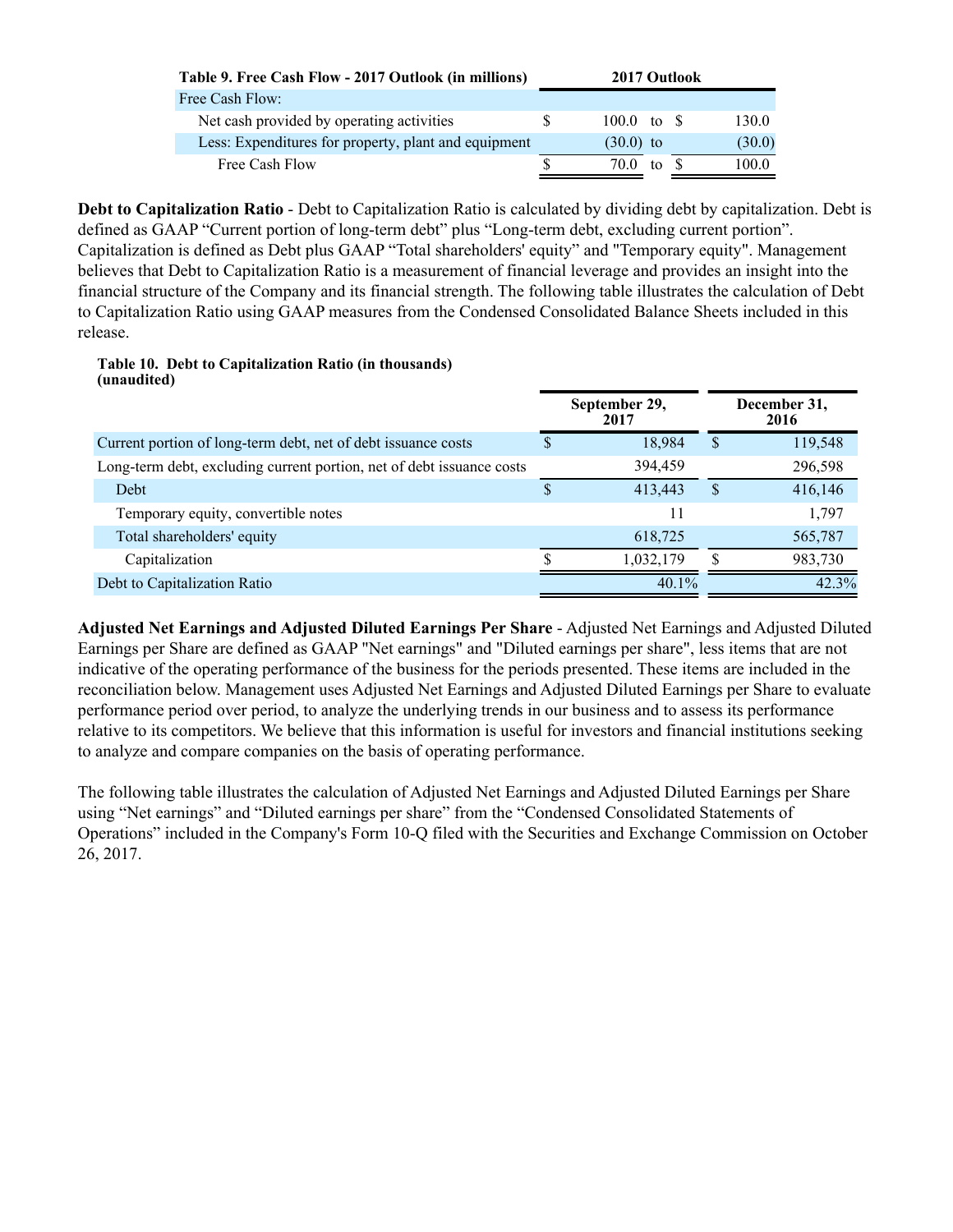| Table 9. Free Cash Flow - 2017 Outlook (in millions) | 2017 Outlook |                       |  |        |  |
|------------------------------------------------------|--------------|-----------------------|--|--------|--|
| Free Cash Flow:                                      |              |                       |  |        |  |
| Net cash provided by operating activities            | S            | 100.0 to \$           |  | 130.0  |  |
| Less: Expenditures for property, plant and equipment |              | $(30.0)$ to           |  | (30.0) |  |
| Free Cash Flow                                       |              | 70 Q<br>$\mathsf{to}$ |  | 100 0  |  |

**Debt to Capitalization Ratio** - Debt to Capitalization Ratio is calculated by dividing debt by capitalization. Debt is defined as GAAP "Current portion of long-term debt" plus "Long-term debt, excluding current portion". Capitalization is defined as Debt plus GAAP "Total shareholders' equity" and "Temporary equity". Management believes that Debt to Capitalization Ratio is a measurement of financial leverage and provides an insight into the financial structure of the Company and its financial strength. The following table illustrates the calculation of Debt to Capitalization Ratio using GAAP measures from the Condensed Consolidated Balance Sheets included in this release.

#### **Table 10. Debt to Capitalization Ratio (in thousands) (unaudited)**

|                                                                       |   | September 29,<br>2017 |   | December 31,<br>2016 |
|-----------------------------------------------------------------------|---|-----------------------|---|----------------------|
| Current portion of long-term debt, net of debt issuance costs         | S | 18,984                | S | 119,548              |
| Long-term debt, excluding current portion, net of debt issuance costs |   | 394,459               |   | 296,598              |
| Debt                                                                  |   | 413.443               | S | 416,146              |
| Temporary equity, convertible notes                                   |   | 11                    |   | 1,797                |
| Total shareholders' equity                                            |   | 618,725               |   | 565,787              |
| Capitalization                                                        |   | 1,032,179             |   | 983,730              |
| Debt to Capitalization Ratio                                          |   | 40.1%                 |   | 42.3%                |

**Adjusted Net Earnings and Adjusted Diluted Earnings Per Share** - Adjusted Net Earnings and Adjusted Diluted Earnings per Share are defined as GAAP "Net earnings" and "Diluted earnings per share", less items that are not indicative of the operating performance of the business for the periods presented. These items are included in the reconciliation below. Management uses Adjusted Net Earnings and Adjusted Diluted Earnings per Share to evaluate performance period over period, to analyze the underlying trends in our business and to assess its performance relative to its competitors. We believe that this information is useful for investors and financial institutions seeking to analyze and compare companies on the basis of operating performance.

The following table illustrates the calculation of Adjusted Net Earnings and Adjusted Diluted Earnings per Share using "Net earnings" and "Diluted earnings per share" from the "Condensed Consolidated Statements of Operations" included in the Company's Form 10-Q filed with the Securities and Exchange Commission on October 26, 2017.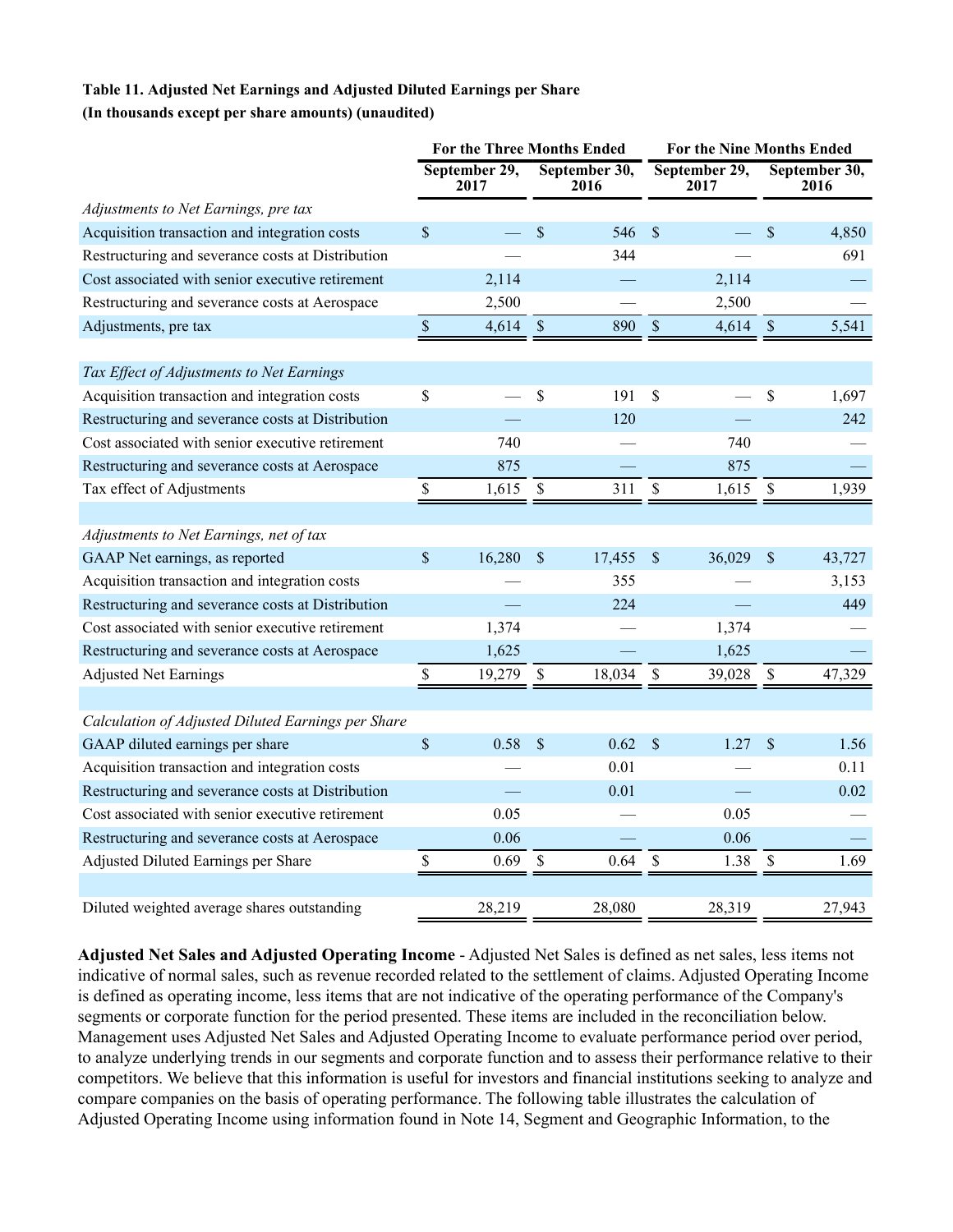### **Table 11. Adjusted Net Earnings and Adjusted Diluted Earnings per Share (In thousands except per share amounts) (unaudited)**

|                                                    | <b>For the Three Months Ended</b> |                       |                           |                       | <b>For the Nine Months Ended</b> |                       |               |                       |  |
|----------------------------------------------------|-----------------------------------|-----------------------|---------------------------|-----------------------|----------------------------------|-----------------------|---------------|-----------------------|--|
|                                                    |                                   | September 29,<br>2017 |                           | September 30,<br>2016 |                                  | September 29,<br>2017 |               | September 30,<br>2016 |  |
| Adjustments to Net Earnings, pre tax               |                                   |                       |                           |                       |                                  |                       |               |                       |  |
| Acquisition transaction and integration costs      | $\$$                              |                       | $\boldsymbol{\mathsf{S}}$ | 546                   | \$                               |                       | $\$$          | 4,850                 |  |
| Restructuring and severance costs at Distribution  |                                   |                       |                           | 344                   |                                  |                       |               | 691                   |  |
| Cost associated with senior executive retirement   |                                   | 2,114                 |                           |                       |                                  | 2,114                 |               |                       |  |
| Restructuring and severance costs at Aerospace     |                                   | 2,500                 |                           |                       |                                  | 2,500                 |               |                       |  |
| Adjustments, pre tax                               | $\mathbb{S}$                      | 4,614                 | $\mathcal{S}$             | 890                   | $\$$                             | 4,614                 | $\mathcal{S}$ | 5,541                 |  |
| Tax Effect of Adjustments to Net Earnings          |                                   |                       |                           |                       |                                  |                       |               |                       |  |
| Acquisition transaction and integration costs      | \$                                |                       | \$                        | 191                   | \$                               |                       | \$            | 1,697                 |  |
| Restructuring and severance costs at Distribution  |                                   |                       |                           | 120                   |                                  |                       |               | 242                   |  |
| Cost associated with senior executive retirement   |                                   | 740                   |                           |                       |                                  | 740                   |               |                       |  |
| Restructuring and severance costs at Aerospace     |                                   | 875                   |                           |                       |                                  | 875                   |               |                       |  |
| Tax effect of Adjustments                          | \$                                | 1,615                 | $\$$                      | 311                   | $\boldsymbol{\mathsf{S}}$        | 1,615                 | $\$$          | 1,939                 |  |
|                                                    |                                   |                       |                           |                       |                                  |                       |               |                       |  |
| Adjustments to Net Earnings, net of tax            |                                   |                       |                           |                       |                                  |                       |               |                       |  |
| GAAP Net earnings, as reported                     | $\boldsymbol{\mathsf{S}}$         | 16,280                | $\boldsymbol{\mathsf{S}}$ | 17,455                | \$                               | 36,029                | \$            | 43,727                |  |
| Acquisition transaction and integration costs      |                                   |                       |                           | 355                   |                                  |                       |               | 3,153                 |  |
| Restructuring and severance costs at Distribution  |                                   |                       |                           | 224                   |                                  |                       |               | 449                   |  |
| Cost associated with senior executive retirement   |                                   | 1,374                 |                           |                       |                                  | 1,374                 |               |                       |  |
| Restructuring and severance costs at Aerospace     |                                   | 1,625                 |                           |                       |                                  | 1,625                 |               |                       |  |
| <b>Adjusted Net Earnings</b>                       | \$                                | 19,279                | $\mathcal{S}$             | 18,034                | \$                               | 39,028                | $\mathsf{\$}$ | 47,329                |  |
|                                                    |                                   |                       |                           |                       |                                  |                       |               |                       |  |
| Calculation of Adjusted Diluted Earnings per Share |                                   |                       |                           |                       |                                  |                       |               |                       |  |
| GAAP diluted earnings per share                    | $\mathbb S$                       | 0.58                  | $\mathcal{S}$             | 0.62                  | \$                               | 1.27                  | $\$$          | 1.56                  |  |
| Acquisition transaction and integration costs      |                                   |                       |                           | 0.01                  |                                  |                       |               | 0.11                  |  |
| Restructuring and severance costs at Distribution  |                                   |                       |                           | 0.01                  |                                  |                       |               | 0.02                  |  |
| Cost associated with senior executive retirement   |                                   | 0.05                  |                           |                       |                                  | 0.05                  |               |                       |  |
| Restructuring and severance costs at Aerospace     |                                   | 0.06                  |                           |                       |                                  | 0.06                  |               |                       |  |
| Adjusted Diluted Earnings per Share                | \$                                | 0.69                  | $\mathsf{\$}$             | 0.64                  | \$                               | 1.38                  | $\$$          | 1.69                  |  |
| Diluted weighted average shares outstanding        |                                   | 28,219                |                           | 28,080                |                                  | 28,319                |               | 27,943                |  |

**Adjusted Net Sales and Adjusted Operating Income** - Adjusted Net Sales is defined as net sales, less items not indicative of normal sales, such as revenue recorded related to the settlement of claims. Adjusted Operating Income is defined as operating income, less items that are not indicative of the operating performance of the Company's segments or corporate function for the period presented. These items are included in the reconciliation below. Management uses Adjusted Net Sales and Adjusted Operating Income to evaluate performance period over period, to analyze underlying trends in our segments and corporate function and to assess their performance relative to their competitors. We believe that this information is useful for investors and financial institutions seeking to analyze and compare companies on the basis of operating performance. The following table illustrates the calculation of Adjusted Operating Income using information found in Note 14, Segment and Geographic Information, to the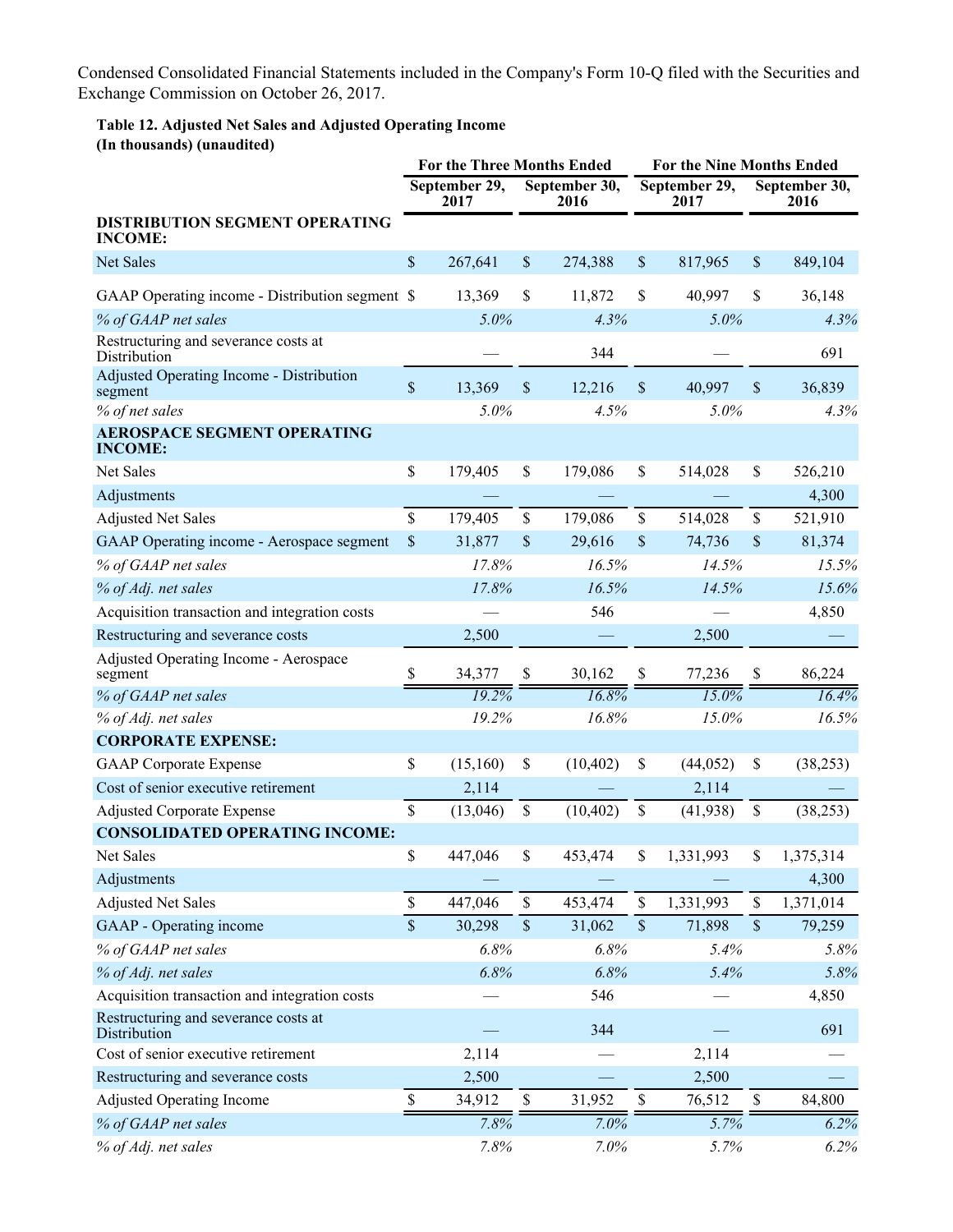Condensed Consolidated Financial Statements included in the Company's Form 10-Q filed with the Securities and Exchange Commission on October 26, 2017.

# **Table 12. Adjusted Net Sales and Adjusted Operating Income (In thousands) (unaudited)**

|                                                            | For the Three Months Ended |                       |                           |                       |               | For the Nine Months Ended |                           |                       |
|------------------------------------------------------------|----------------------------|-----------------------|---------------------------|-----------------------|---------------|---------------------------|---------------------------|-----------------------|
|                                                            |                            | September 29,<br>2017 |                           | September 30,<br>2016 |               | September 29,<br>2017     |                           | September 30,<br>2016 |
| DISTRIBUTION SEGMENT OPERATING<br><b>INCOME:</b>           |                            |                       |                           |                       |               |                           |                           |                       |
| Net Sales                                                  | \$                         | 267,641               | $\boldsymbol{\mathsf{S}}$ | 274,388               | \$            | 817,965                   | $\boldsymbol{\mathsf{S}}$ | 849,104               |
| GAAP Operating income - Distribution segment \$            |                            | 13,369                | \$                        | 11,872                | \$            | 40,997                    | \$                        | 36,148                |
| % of GAAP net sales                                        |                            | 5.0%                  |                           | 4.3%                  |               | 5.0%                      |                           | 4.3%                  |
| Restructuring and severance costs at<br>Distribution       |                            |                       |                           | 344                   |               |                           |                           | 691                   |
| <b>Adjusted Operating Income - Distribution</b><br>segment | $\mathbf S$                | 13,369                | $\mathcal{S}$             | 12,216                | <sup>\$</sup> | 40,997                    | \$                        | 36,839                |
| % of net sales                                             |                            | 5.0%                  |                           | 4.5%                  |               | 5.0%                      |                           | 4.3%                  |
| <b>AEROSPACE SEGMENT OPERATING</b><br><b>INCOME:</b>       |                            |                       |                           |                       |               |                           |                           |                       |
| Net Sales                                                  | \$                         | 179,405               | \$                        | 179,086               | S             | 514,028                   | \$                        | 526,210               |
| Adjustments                                                |                            |                       |                           |                       |               |                           |                           | 4,300                 |
| <b>Adjusted Net Sales</b>                                  | $\mathbf S$                | 179,405               | \$                        | 179,086               | \$            | 514,028                   | $\mathbb{S}$              | 521,910               |
| GAAP Operating income - Aerospace segment                  | \$                         | 31,877                | \$                        | 29,616                | \$            | 74,736                    | \$                        | 81,374                |
| % of GAAP net sales                                        |                            | 17.8%                 |                           | 16.5%                 |               | 14.5%                     |                           | 15.5%                 |
| % of Adj. net sales                                        |                            | 17.8%                 |                           | 16.5%                 |               | 14.5%                     |                           | 15.6%                 |
| Acquisition transaction and integration costs              |                            |                       |                           | 546                   |               |                           |                           | 4,850                 |
| Restructuring and severance costs                          |                            | 2,500                 |                           |                       |               | 2,500                     |                           |                       |
| <b>Adjusted Operating Income - Aerospace</b><br>segment    | S                          | 34,377                |                           | 30,162                |               | 77,236                    | S.                        | 86,224                |
| % of GAAP net sales                                        |                            | 19.2%                 |                           | 16.8%                 |               | $15.0\%$                  |                           | 16.4%                 |
| % of Adj. net sales                                        |                            | 19.2%                 |                           | 16.8%                 |               | 15.0%                     |                           | 16.5%                 |
| <b>CORPORATE EXPENSE:</b>                                  |                            |                       |                           |                       |               |                           |                           |                       |
| <b>GAAP</b> Corporate Expense                              | \$                         | (15,160)              | \$                        | (10, 402)             | \$            | (44, 052)                 | \$                        | (38, 253)             |
| Cost of senior executive retirement                        |                            | 2,114                 |                           |                       |               | 2,114                     |                           |                       |
| <b>Adjusted Corporate Expense</b>                          | $\mathbb{S}$               | (13,046)              | \$                        | (10, 402)             | \$            | (41, 938)                 | \$                        | (38, 253)             |
| <b>CONSOLIDATED OPERATING INCOME:</b>                      |                            |                       |                           |                       |               |                           |                           |                       |
| Net Sales                                                  | \$                         | 447,046               | \$                        | 453,474               | \$            | 1,331,993                 | \$                        | 1,375,314             |
| Adjustments                                                |                            |                       |                           |                       |               |                           |                           | 4,300                 |
| <b>Adjusted Net Sales</b>                                  | $\mathbb S$                | 447,046               | $\mathbb S$               | 453,474               | \$            | 1,331,993                 | $\mathbb S$               | 1,371,014             |
| GAAP - Operating income                                    | $\sqrt{\ }$                | 30,298                | $\$$                      | 31,062                | $\mathcal{S}$ | 71,898                    | $\mathbb S$               | 79,259                |
| % of GAAP net sales                                        |                            | 6.8%                  |                           | 6.8%                  |               | 5.4%                      |                           | 5.8%                  |
| % of Adj. net sales                                        |                            | 6.8%                  |                           | 6.8%                  |               | 5.4%                      |                           | 5.8%                  |
| Acquisition transaction and integration costs              |                            |                       |                           | 546                   |               |                           |                           | 4,850                 |
| Restructuring and severance costs at<br>Distribution       |                            |                       |                           | 344                   |               |                           |                           | 691                   |
| Cost of senior executive retirement                        |                            | 2,114                 |                           |                       |               | 2,114                     |                           |                       |
| Restructuring and severance costs                          |                            | 2,500                 |                           |                       |               | 2,500                     |                           |                       |
| <b>Adjusted Operating Income</b>                           | \$                         | 34,912                | \$                        | 31,952                | \$            | 76,512                    | \$                        | 84,800                |
| % of GAAP net sales                                        |                            | 7.8%                  |                           | 7.0%                  |               | 5.7%                      |                           | 6.2%                  |
| % of Adj. net sales                                        |                            | 7.8%                  |                           | 7.0%                  |               | 5.7%                      |                           | 6.2%                  |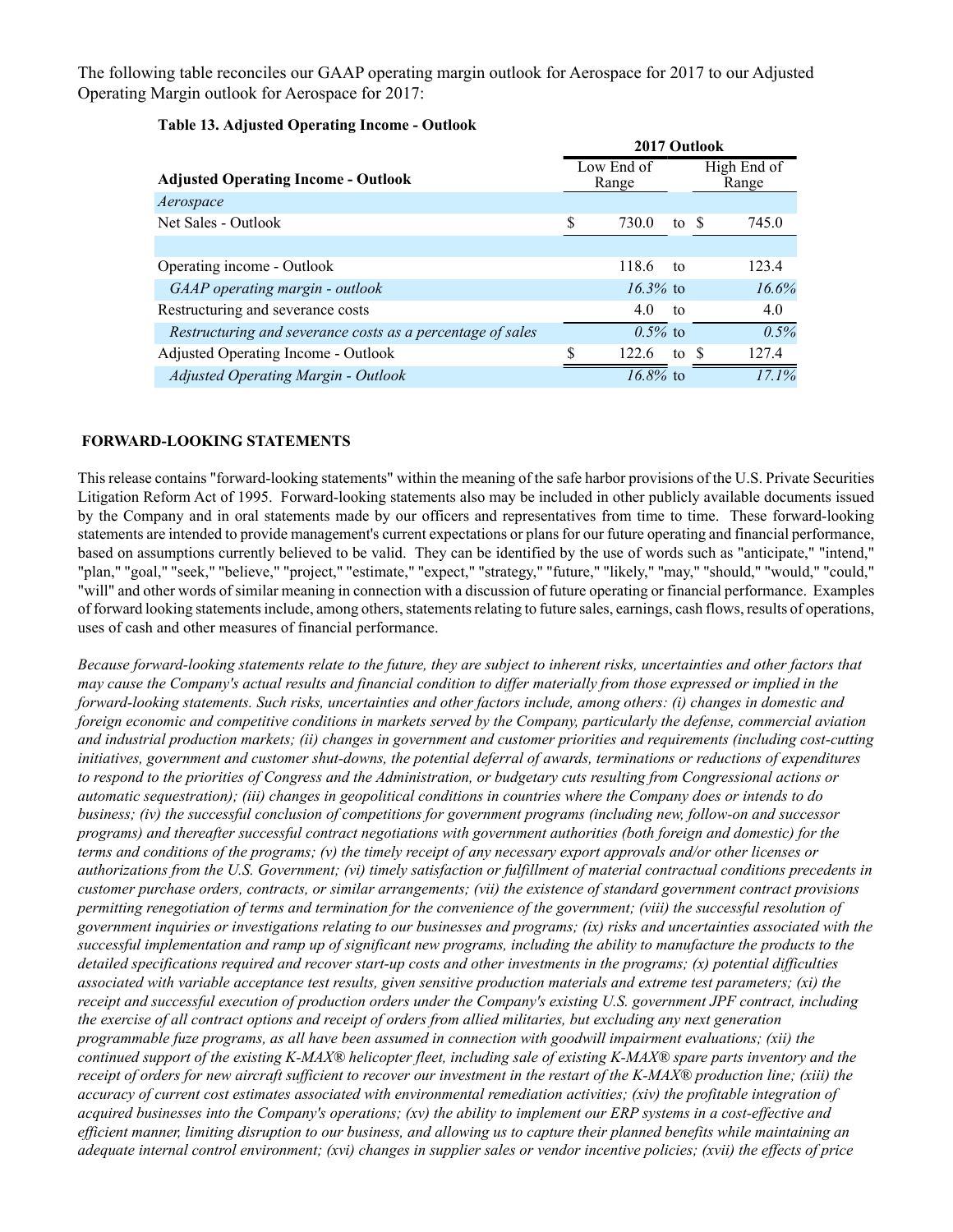The following table reconciles our GAAP operating margin outlook for Aerospace for 2017 to our Adjusted Operating Margin outlook for Aerospace for 2017:

|                                                            | 2017 Outlook |                     |       |  |                      |  |  |  |  |
|------------------------------------------------------------|--------------|---------------------|-------|--|----------------------|--|--|--|--|
| <b>Adjusted Operating Income - Outlook</b>                 |              | Low End of<br>Range |       |  | High End of<br>Range |  |  |  |  |
| Aerospace                                                  |              |                     |       |  |                      |  |  |  |  |
| Net Sales - Outlook                                        | \$           | 730.0               | to S  |  | 745.0                |  |  |  |  |
|                                                            |              |                     |       |  |                      |  |  |  |  |
| Operating income - Outlook                                 |              | 118.6               | to    |  | 123.4                |  |  |  |  |
| GAAP operating margin - outlook                            |              | $16.3\%$ to         |       |  | 16.6%                |  |  |  |  |
| Restructuring and severance costs                          |              | 4.0                 | to    |  | 4.0                  |  |  |  |  |
| Restructuring and severance costs as a percentage of sales |              | $0.5\%$ to          |       |  | 0.5%                 |  |  |  |  |
| Adjusted Operating Income - Outlook                        | \$           | 122.6               | to \$ |  | 127.4                |  |  |  |  |
| <b>Adjusted Operating Margin - Outlook</b>                 |              | $16.8\%$ to         |       |  | 171%                 |  |  |  |  |

#### **Table 13. Adjusted Operating Income - Outlook**

#### **FORWARD-LOOKING STATEMENTS**

This release contains "forward-looking statements" within the meaning of the safe harbor provisions of the U.S. Private Securities Litigation Reform Act of 1995. Forward-looking statements also may be included in other publicly available documents issued by the Company and in oral statements made by our officers and representatives from time to time. These forward-looking statements are intended to provide management's current expectations or plans for our future operating and financial performance, based on assumptions currently believed to be valid. They can be identified by the use of words such as "anticipate," "intend," "plan," "goal," "seek," "believe," "project," "estimate," "expect," "strategy," "future," "likely," "may," "should," "would," "could," "will" and other words of similar meaning in connection with a discussion of future operating or financial performance. Examples of forward looking statements include, among others, statements relating to future sales, earnings, cash flows, results of operations, uses of cash and other measures of financial performance.

*Because forward-looking statements relate to the future, they are subject to inherent risks, uncertainties and other factors that may cause the Company's actual results and financial condition to differ materially from those expressed or implied in the forward-looking statements. Such risks, uncertainties and other factors include, among others: (i) changes in domestic and foreign economic and competitive conditions in markets served by the Company, particularly the defense, commercial aviation and industrial production markets; (ii) changes in government and customer priorities and requirements (including cost-cutting initiatives, government and customer shut-downs, the potential deferral of awards, terminations or reductions of expenditures to respond to the priorities of Congress and the Administration, or budgetary cuts resulting from Congressional actions or automatic sequestration); (iii) changes in geopolitical conditions in countries where the Company does or intends to do business; (iv) the successful conclusion of competitions for government programs (including new, follow-on and successor programs) and thereafter successful contract negotiations with government authorities (both foreign and domestic) for the terms and conditions of the programs; (v) the timely receipt of any necessary export approvals and/or other licenses or authorizations from the U.S. Government; (vi) timely satisfaction or fulfillment of material contractual conditions precedents in customer purchase orders, contracts, or similar arrangements; (vii) the existence of standard government contract provisions permitting renegotiation of terms and termination for the convenience of the government; (viii) the successful resolution of government inquiries or investigations relating to our businesses and programs; (ix) risks and uncertainties associated with the successful implementation and ramp up of significant new programs, including the ability to manufacture the products to the detailed specifications required and recover start-up costs and other investments in the programs; (x) potential difficulties associated with variable acceptance test results, given sensitive production materials and extreme test parameters; (xi) the receipt and successful execution of production orders under the Company's existing U.S. government JPF contract, including the exercise of all contract options and receipt of orders from allied militaries, but excluding any next generation programmable fuze programs, as all have been assumed in connection with goodwill impairment evaluations; (xii) the continued support of the existing K-MAX® helicopter fleet, including sale of existing K-MAX® spare parts inventory and the receipt of orders for new aircraft sufficient to recover our investment in the restart of the K-MAX® production line; (xiii) the accuracy of current cost estimates associated with environmental remediation activities; (xiv) the profitable integration of acquired businesses into the Company's operations; (xv) the ability to implement our ERP systems in a cost-effective and efficient manner, limiting disruption to our business, and allowing us to capture their planned benefits while maintaining an adequate internal control environment; (xvi) changes in supplier sales or vendor incentive policies; (xvii) the effects of price*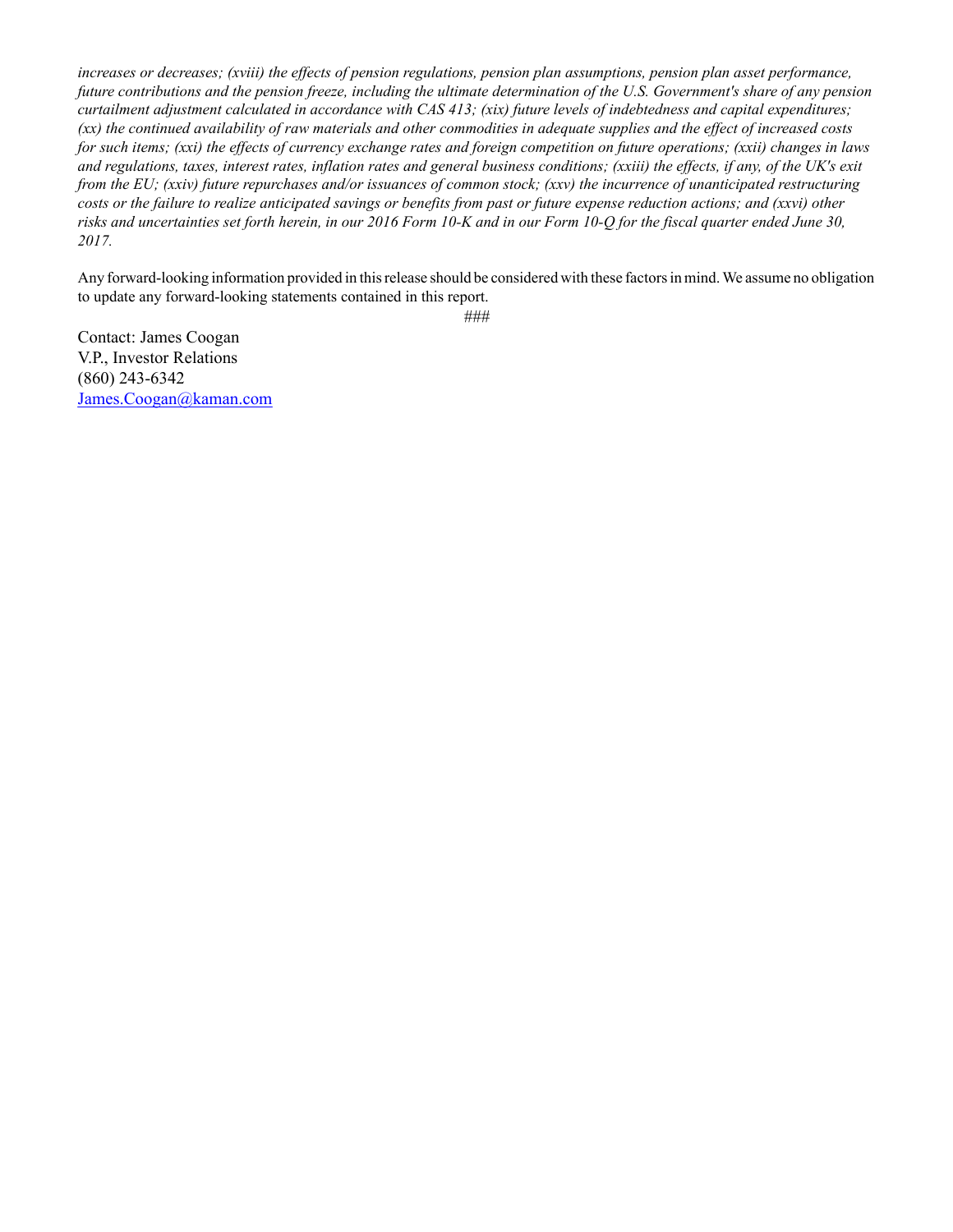*increases or decreases; (xviii) the effects of pension regulations, pension plan assumptions, pension plan asset performance, future contributions and the pension freeze, including the ultimate determination of the U.S. Government's share of any pension curtailment adjustment calculated in accordance with CAS 413; (xix) future levels of indebtedness and capital expenditures; (xx) the continued availability of raw materials and other commodities in adequate supplies and the effect of increased costs for such items; (xxi) the effects of currency exchange rates and foreign competition on future operations; (xxii) changes in laws and regulations, taxes, interest rates, inflation rates and general business conditions; (xxiii) the effects, if any, of the UK's exit from the EU; (xxiv) future repurchases and/or issuances of common stock; (xxv) the incurrence of unanticipated restructuring costs or the failure to realize anticipated savings or benefits from past or future expense reduction actions; and (xxvi) other risks and uncertainties set forth herein, in our 2016 Form 10-K and in our Form 10-Q for the fiscal quarter ended June 30, 2017.*

Any forward-looking information provided in this release should be considered with these factors in mind. We assume no obligation to update any forward-looking statements contained in this report.

*###*

Contact: James Coogan V.P., Investor Relations (860) 243-6342 James.Coogan@kaman.com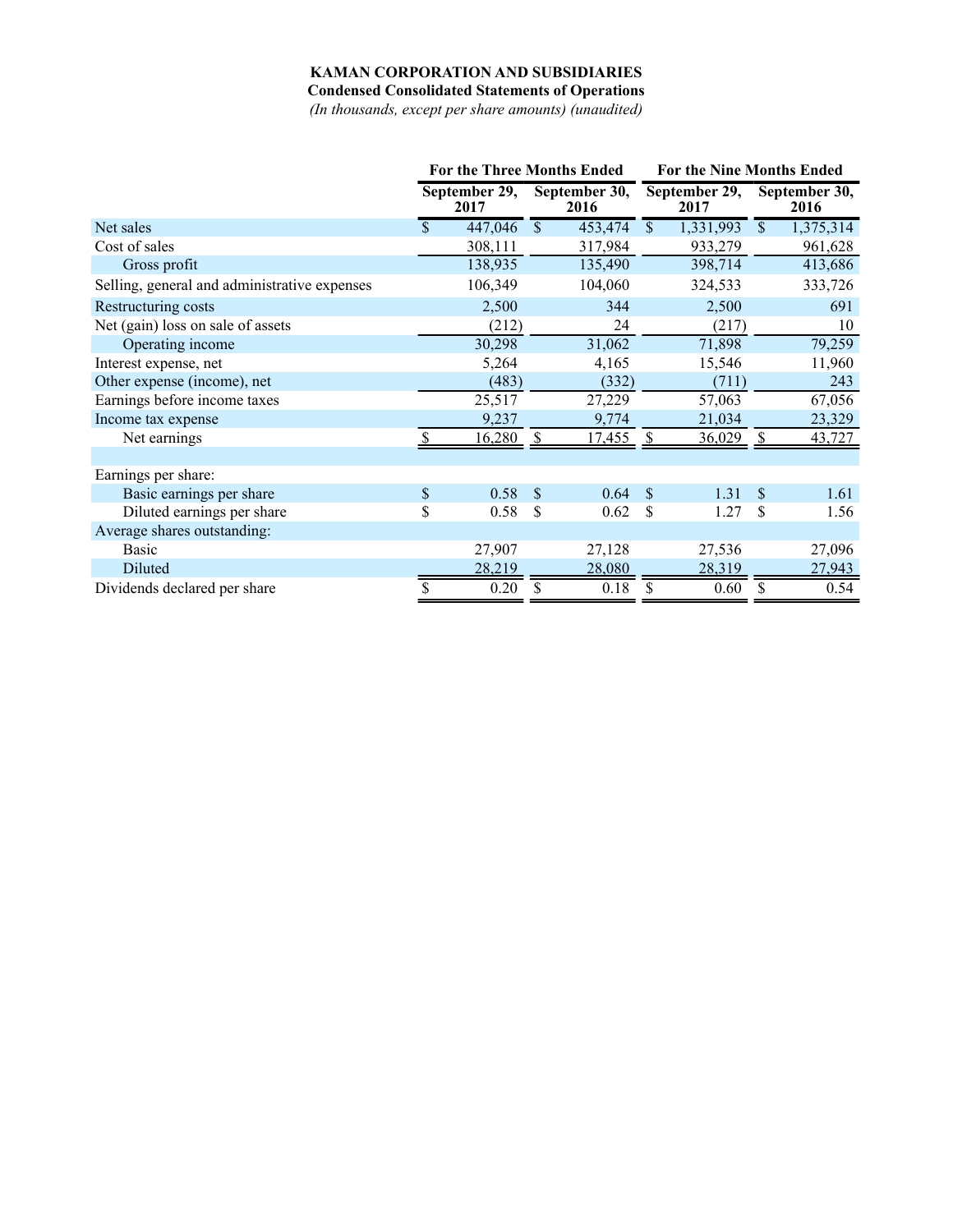## **KAMAN CORPORATION AND SUBSIDIARIES**

**Condensed Consolidated Statements of Operations**

*(In thousands, except per share amounts) (unaudited)*

|                                              | <b>For the Three Months Ended</b> |                       |                           | <b>For the Nine Months Ended</b> |                      |                       |              |                       |
|----------------------------------------------|-----------------------------------|-----------------------|---------------------------|----------------------------------|----------------------|-----------------------|--------------|-----------------------|
|                                              |                                   | September 29,<br>2017 |                           | September 30,<br>2016            |                      | September 29,<br>2017 |              | September 30,<br>2016 |
| Net sales                                    | $\mathbb{S}$                      | 447,046               | $\mathcal{S}$             | 453,474                          | $\mathbb{S}$         | 1,331,993             | $\mathbb{S}$ | 1,375,314             |
| Cost of sales                                |                                   | 308,111               |                           | 317,984                          |                      | 933,279               |              | 961,628               |
| Gross profit                                 |                                   | 138,935               |                           | 135,490                          |                      | 398,714               |              | 413,686               |
| Selling, general and administrative expenses |                                   | 106,349               |                           | 104,060                          |                      | 324,533               |              | 333,726               |
| Restructuring costs                          |                                   | 2,500                 |                           | 344                              |                      | 2,500                 |              | 691                   |
| Net (gain) loss on sale of assets            |                                   | (212)                 |                           | 24                               |                      | (217)                 |              | 10                    |
| Operating income                             |                                   | 30,298                |                           | 31,062                           |                      | 71,898                |              | 79,259                |
| Interest expense, net                        |                                   | 5,264                 |                           | 4,165                            |                      | 15,546                |              | 11,960                |
| Other expense (income), net                  |                                   | (483)                 |                           | (332)                            |                      | (711)                 |              | 243                   |
| Earnings before income taxes                 |                                   | 25,517                |                           | 27,229                           |                      | 57,063                |              | 67,056                |
| Income tax expense                           |                                   | 9,237                 |                           | 9,774                            |                      | 21,034                |              | 23,329                |
| Net earnings                                 | \$                                | 16,280                | $\boldsymbol{\mathsf{S}}$ | 17,455                           | $\sqrt{\frac{2}{5}}$ | 36,029                | \$           | 43,727                |
|                                              |                                   |                       |                           |                                  |                      |                       |              |                       |
| Earnings per share:                          |                                   |                       |                           |                                  |                      |                       |              |                       |
| Basic earnings per share                     | \$                                | 0.58                  | <sup>\$</sup>             | 0.64                             | \$                   | 1.31                  | \$           | 1.61                  |
| Diluted earnings per share                   | \$                                | 0.58                  | \$                        | 0.62                             | \$                   | 1.27                  | \$           | 1.56                  |
| Average shares outstanding:                  |                                   |                       |                           |                                  |                      |                       |              |                       |
| <b>Basic</b>                                 |                                   | 27,907                |                           | 27,128                           |                      | 27,536                |              | 27,096                |
| Diluted                                      |                                   | 28,219                |                           | 28,080                           |                      | 28,319                |              | 27,943                |
| Dividends declared per share                 | \$                                | 0.20                  | \$                        | 0.18                             | \$                   | 0.60                  | \$           | 0.54                  |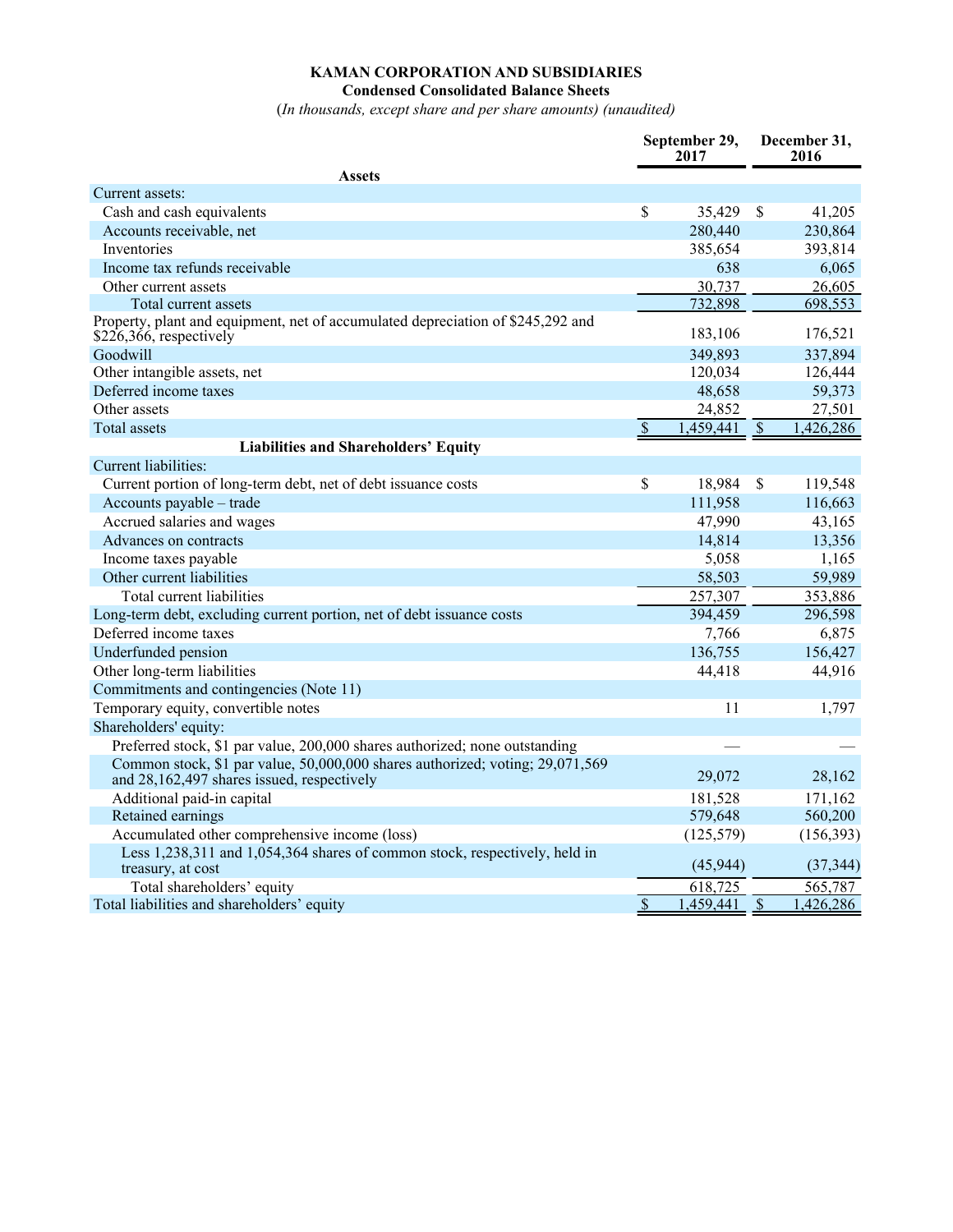## **KAMAN CORPORATION AND SUBSIDIARIES Condensed Consolidated Balance Sheets**

(*In thousands, except share and per share amounts) (unaudited)*

|                                                                                                                             |                          | September 29,<br>2017 | December 31,<br>2016 |            |
|-----------------------------------------------------------------------------------------------------------------------------|--------------------------|-----------------------|----------------------|------------|
| <b>Assets</b>                                                                                                               |                          |                       |                      |            |
| Current assets:                                                                                                             |                          |                       |                      |            |
| Cash and cash equivalents                                                                                                   | \$                       | 35,429                | <sup>S</sup>         | 41,205     |
| Accounts receivable, net                                                                                                    |                          | 280,440               |                      | 230,864    |
| Inventories                                                                                                                 |                          | 385,654               |                      | 393,814    |
| Income tax refunds receivable                                                                                               |                          | 638                   |                      | 6,065      |
| Other current assets                                                                                                        |                          | 30,737                |                      | 26,605     |
| Total current assets                                                                                                        |                          | 732,898               |                      | 698,553    |
| Property, plant and equipment, net of accumulated depreciation of \$245,292 and<br>$$226,366$ , respectively                |                          | 183,106               |                      | 176,521    |
| Goodwill                                                                                                                    |                          | 349,893               |                      | 337,894    |
| Other intangible assets, net                                                                                                |                          | 120,034               |                      | 126,444    |
| Deferred income taxes                                                                                                       |                          | 48,658                |                      | 59,373     |
| Other assets                                                                                                                |                          | 24,852                |                      | 27,501     |
| <b>Total assets</b>                                                                                                         | $\overline{\mathcal{S}}$ | 1,459,441             | $\mathcal{S}$        | 1,426,286  |
| Liabilities and Shareholders' Equity                                                                                        |                          |                       |                      |            |
| Current liabilities:                                                                                                        |                          |                       |                      |            |
| Current portion of long-term debt, net of debt issuance costs                                                               | \$                       | 18,984                | $\mathcal{S}$        | 119,548    |
| Accounts payable - trade                                                                                                    |                          | 111,958               |                      | 116,663    |
| Accrued salaries and wages                                                                                                  |                          | 47,990                |                      | 43,165     |
| Advances on contracts                                                                                                       |                          | 14,814                |                      | 13,356     |
| Income taxes payable                                                                                                        |                          | 5,058                 |                      | 1,165      |
| Other current liabilities                                                                                                   |                          | 58,503                |                      | 59,989     |
| Total current liabilities                                                                                                   |                          | 257,307               |                      | 353,886    |
| Long-term debt, excluding current portion, net of debt issuance costs                                                       |                          | 394,459               |                      | 296,598    |
| Deferred income taxes                                                                                                       |                          | 7,766                 |                      | 6,875      |
| Underfunded pension                                                                                                         |                          | 136,755               |                      | 156,427    |
| Other long-term liabilities                                                                                                 |                          | 44,418                |                      | 44,916     |
| Commitments and contingencies (Note 11)                                                                                     |                          |                       |                      |            |
| Temporary equity, convertible notes                                                                                         |                          | 11                    |                      | 1,797      |
| Shareholders' equity:                                                                                                       |                          |                       |                      |            |
| Preferred stock, \$1 par value, 200,000 shares authorized; none outstanding                                                 |                          |                       |                      |            |
| Common stock, \$1 par value, 50,000,000 shares authorized; voting; 29,071,569<br>and 28,162,497 shares issued, respectively |                          | 29,072                |                      | 28,162     |
| Additional paid-in capital                                                                                                  |                          | 181,528               |                      | 171,162    |
| Retained earnings                                                                                                           |                          | 579,648               |                      | 560,200    |
| Accumulated other comprehensive income (loss)                                                                               |                          | (125, 579)            |                      | (156, 393) |
| Less 1,238,311 and 1,054,364 shares of common stock, respectively, held in<br>treasury, at cost                             |                          | (45, 944)             |                      | (37, 344)  |
| Total shareholders' equity                                                                                                  |                          | 618,725               |                      | 565,787    |
| Total liabilities and shareholders' equity                                                                                  | $\overline{\$}$          | 1,459,441             | $\mathcal{S}$        | 1,426,286  |